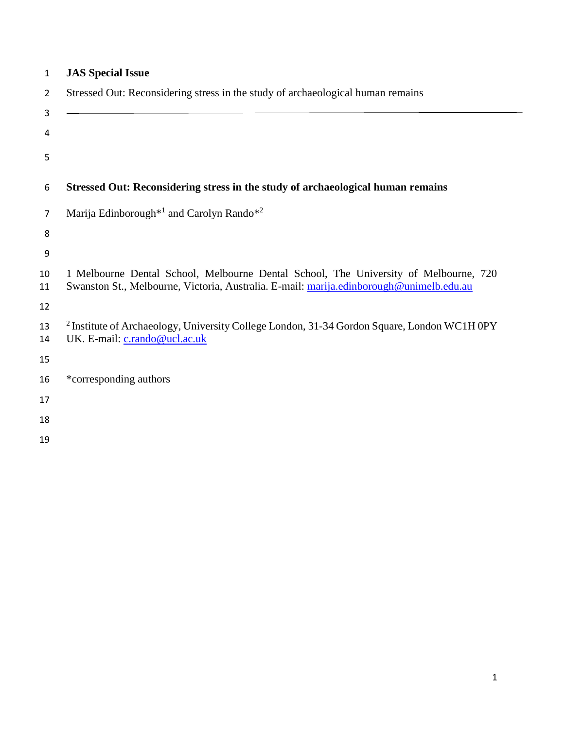| $\mathbf{1}$   | <b>JAS Special Issue</b>                                                                                                                                                        |
|----------------|---------------------------------------------------------------------------------------------------------------------------------------------------------------------------------|
| $\overline{2}$ | Stressed Out: Reconsidering stress in the study of archaeological human remains                                                                                                 |
| 3<br>4         |                                                                                                                                                                                 |
| 5              |                                                                                                                                                                                 |
| 6              | Stressed Out: Reconsidering stress in the study of archaeological human remains                                                                                                 |
| 7              | Marija Edinborough <sup>*1</sup> and Carolyn Rando <sup>*2</sup>                                                                                                                |
| 8              |                                                                                                                                                                                 |
| 9              |                                                                                                                                                                                 |
| 10<br>11       | 1 Melbourne Dental School, Melbourne Dental School, The University of Melbourne, 720<br>Swanston St., Melbourne, Victoria, Australia. E-mail: marija.edinborough@unimelb.edu.au |
| 12             |                                                                                                                                                                                 |
| 13<br>14       | <sup>2</sup> Institute of Archaeology, University College London, 31-34 Gordon Square, London WC1H 0PY<br>UK. E-mail: c.rando@ucl.ac.uk                                         |
| 15             |                                                                                                                                                                                 |
| 16             | *corresponding authors                                                                                                                                                          |
| 17             |                                                                                                                                                                                 |
| 18             |                                                                                                                                                                                 |
| 19             |                                                                                                                                                                                 |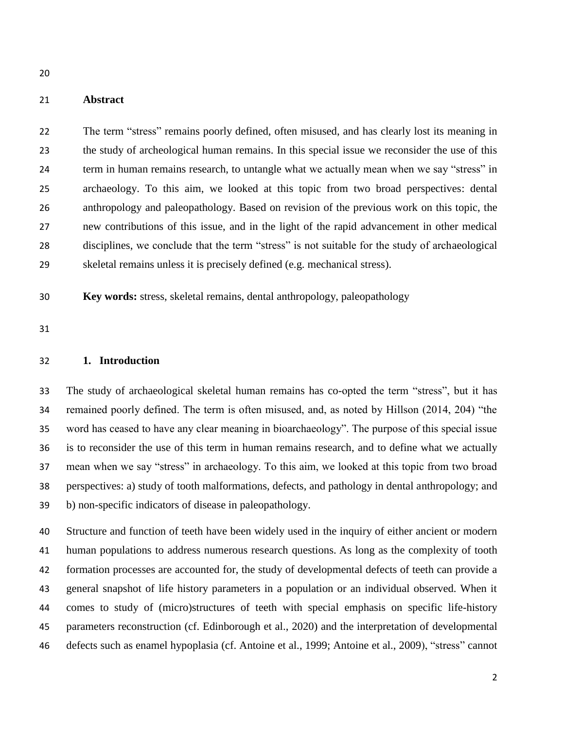## **Abstract**

 The term "stress" remains poorly defined, often misused, and has clearly lost its meaning in the study of archeological human remains. In this special issue we reconsider the use of this term in human remains research, to untangle what we actually mean when we say "stress" in archaeology. To this aim, we looked at this topic from two broad perspectives: dental anthropology and paleopathology. Based on revision of the previous work on this topic, the new contributions of this issue, and in the light of the rapid advancement in other medical disciplines, we conclude that the term "stress" is not suitable for the study of archaeological skeletal remains unless it is precisely defined (e.g. mechanical stress).

**Key words:** stress, skeletal remains, dental anthropology, paleopathology

#### **1. Introduction**

 The study of archaeological skeletal human remains has co-opted the term "stress", but it has remained poorly defined. The term is often misused, and, as noted by Hillson (2014, 204) "the word has ceased to have any clear meaning in bioarchaeology". The purpose of this special issue is to reconsider the use of this term in human remains research, and to define what we actually mean when we say "stress" in archaeology. To this aim, we looked at this topic from two broad perspectives: a) study of tooth malformations, defects, and pathology in dental anthropology; and b) non-specific indicators of disease in paleopathology.

 Structure and function of teeth have been widely used in the inquiry of either ancient or modern human populations to address numerous research questions. As long as the complexity of tooth formation processes are accounted for, the study of developmental defects of teeth can provide a general snapshot of life history parameters in a population or an individual observed. When it comes to study of (micro)structures of teeth with special emphasis on specific life-history parameters reconstruction (cf. Edinborough et al., 2020) and the interpretation of developmental defects such as enamel hypoplasia (cf. Antoine et al., 1999; Antoine et al., 2009), "stress" cannot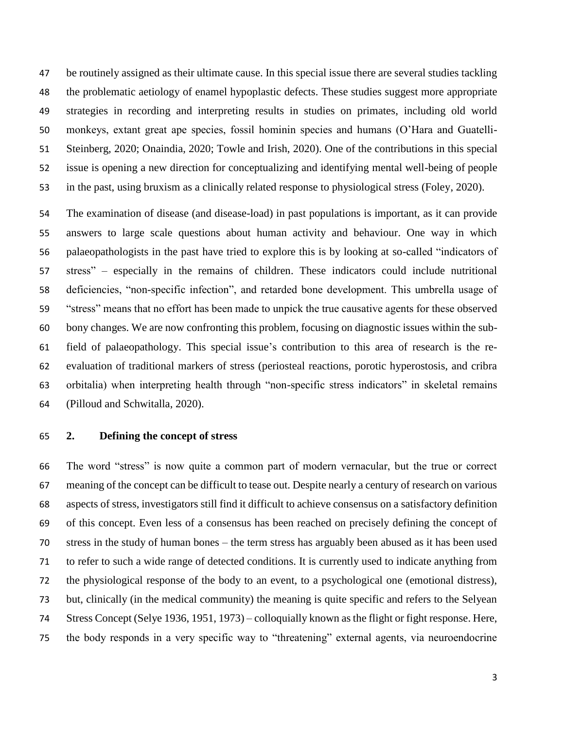be routinely assigned as their ultimate cause. In this special issue there are several studies tackling the problematic aetiology of enamel hypoplastic defects. These studies suggest more appropriate strategies in recording and interpreting results in studies on primates, including old world monkeys, extant great ape species, fossil hominin species and humans (O'Hara and Guatelli- Steinberg, 2020; Onaindia, 2020; Towle and Irish, 2020). One of the contributions in this special issue is opening a new direction for conceptualizing and identifying mental well-being of people in the past, using bruxism as a clinically related response to physiological stress (Foley, 2020).

 The examination of disease (and disease-load) in past populations is important, as it can provide answers to large scale questions about human activity and behaviour. One way in which palaeopathologists in the past have tried to explore this is by looking at so-called "indicators of stress" – especially in the remains of children. These indicators could include nutritional deficiencies, "non-specific infection", and retarded bone development. This umbrella usage of "stress" means that no effort has been made to unpick the true causative agents for these observed bony changes. We are now confronting this problem, focusing on diagnostic issues within the sub- field of palaeopathology. This special issue's contribution to this area of research is the re- evaluation of traditional markers of stress (periosteal reactions, porotic hyperostosis, and cribra orbitalia) when interpreting health through "non-specific stress indicators" in skeletal remains (Pilloud and Schwitalla, 2020).

**2. Defining the concept of stress**

 The word "stress" is now quite a common part of modern vernacular, but the true or correct meaning of the concept can be difficult to tease out. Despite nearly a century of research on various aspects of stress, investigators still find it difficult to achieve consensus on a satisfactory definition of this concept. Even less of a consensus has been reached on precisely defining the concept of stress in the study of human bones – the term stress has arguably been abused as it has been used to refer to such a wide range of detected conditions. It is currently used to indicate anything from the physiological response of the body to an event, to a psychological one (emotional distress), but, clinically (in the medical community) the meaning is quite specific and refers to the Selyean Stress Concept (Selye 1936, 1951, 1973) – colloquially known as the flight or fight response. Here, the body responds in a very specific way to "threatening" external agents, via neuroendocrine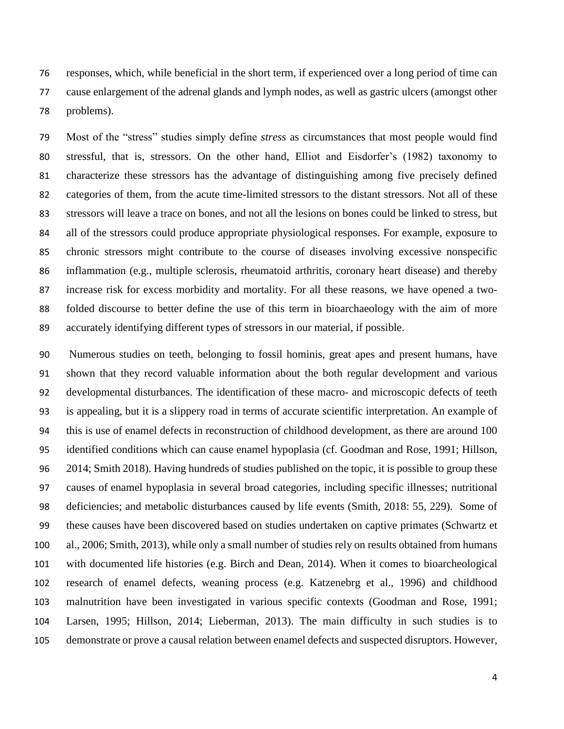responses, which, while beneficial in the short term, if experienced over a long period of time can cause enlargement of the adrenal glands and lymph nodes, as well as gastric ulcers (amongst other problems).

 Most of the "stress" studies simply define *stress* as circumstances that most people would find stressful, that is, stressors. On the other hand, Elliot and Eisdorfer's (1982) taxonomy to characterize these stressors has the advantage of distinguishing among five precisely defined categories of them, from the acute time-limited stressors to the distant stressors. Not all of these stressors will leave a trace on bones, and not all the lesions on bones could be linked to stress, but 84 all of the stressors could produce appropriate physiological responses. For example, exposure to chronic stressors might contribute to the course of diseases involving excessive nonspecific inflammation (e.g., multiple sclerosis, rheumatoid arthritis, coronary heart disease) and thereby increase risk for excess morbidity and mortality. For all these reasons, we have opened a two- folded discourse to better define the use of this term in bioarchaeology with the aim of more accurately identifying different types of stressors in our material, if possible.

 Numerous studies on teeth, belonging to fossil hominis, great apes and present humans, have shown that they record valuable information about the both regular development and various developmental disturbances. The identification of these macro- and microscopic defects of teeth is appealing, but it is a slippery road in terms of accurate scientific interpretation. An example of this is use of enamel defects in reconstruction of childhood development, as there are around 100 identified conditions which can cause enamel hypoplasia (cf. Goodman and Rose, 1991; Hillson, 2014; Smith 2018). Having hundreds of studies published on the topic, it is possible to group these causes of enamel hypoplasia in several broad categories, including specific illnesses; nutritional deficiencies; and metabolic disturbances caused by life events (Smith, 2018: 55, 229). Some of these causes have been discovered based on studies undertaken on captive primates (Schwartz et al., 2006; Smith, 2013), while only a small number of studies rely on results obtained from humans with documented life histories (e.g. Birch and Dean, 2014). When it comes to bioarcheological research of enamel defects, weaning process (e.g. Katzenebrg et al., 1996) and childhood malnutrition have been investigated in various specific contexts (Goodman and Rose, 1991; Larsen, 1995; Hillson, 2014; Lieberman, 2013). The main difficulty in such studies is to demonstrate or prove a causal relation between enamel defects and suspected disruptors. However,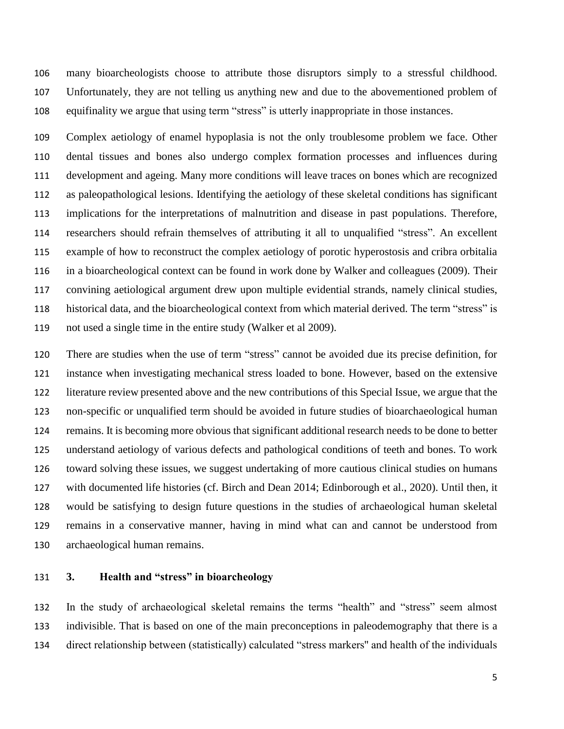many bioarcheologists choose to attribute those disruptors simply to a stressful childhood. Unfortunately, they are not telling us anything new and due to the abovementioned problem of equifinality we argue that using term "stress" is utterly inappropriate in those instances.

 Complex aetiology of enamel hypoplasia is not the only troublesome problem we face. Other dental tissues and bones also undergo complex formation processes and influences during development and ageing. Many more conditions will leave traces on bones which are recognized as paleopathological lesions. Identifying the aetiology of these skeletal conditions has significant implications for the interpretations of malnutrition and disease in past populations. Therefore, researchers should refrain themselves of attributing it all to unqualified "stress". An excellent example of how to reconstruct the complex aetiology of porotic hyperostosis and cribra orbitalia in a bioarcheological context can be found in work done by Walker and colleagues (2009). Their convining aetiological argument drew upon multiple evidential strands, namely clinical studies, historical data, and the bioarcheological context from which material derived. The term "stress" is not used a single time in the entire study (Walker et al 2009).

 There are studies when the use of term "stress" cannot be avoided due its precise definition, for instance when investigating mechanical stress loaded to bone. However, based on the extensive literature review presented above and the new contributions of this Special Issue, we argue that the non-specific or unqualified term should be avoided in future studies of bioarchaeological human remains. It is becoming more obvious that significant additional research needs to be done to better understand aetiology of various defects and pathological conditions of teeth and bones. To work toward solving these issues, we suggest undertaking of more cautious clinical studies on humans with documented life histories (cf. Birch and Dean 2014; Edinborough et al., 2020). Until then, it would be satisfying to design future questions in the studies of archaeological human skeletal remains in a conservative manner, having in mind what can and cannot be understood from archaeological human remains.

# **3. Health and "stress" in bioarcheology**

 In the study of archaeological skeletal remains the terms "health" and "stress" seem almost indivisible. That is based on one of the main preconceptions in paleodemography that there is a direct relationship between (statistically) calculated "stress markers'' and health of the individuals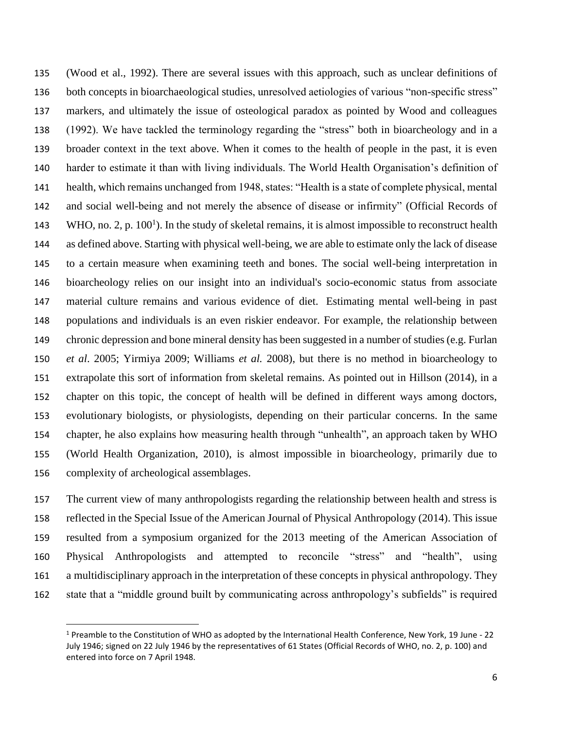(Wood et al., 1992). There are several issues with this approach, such as unclear definitions of both concepts in bioarchaeological studies, unresolved aetiologies of various "non-specific stress" markers, and ultimately the issue of osteological paradox as pointed by Wood and colleagues (1992). We have tackled the terminology regarding the "stress" both in bioarcheology and in a broader context in the text above. When it comes to the health of people in the past, it is even harder to estimate it than with living individuals. The World Health Organisation's definition of health, which remains unchanged from 1948, states: "Health is a state of complete physical, mental and social well-being and not merely the absence of disease or infirmity" (Official Records of 143 WHO, no. 2, p.  $100<sup>1</sup>$ ). In the study of skeletal remains, it is almost impossible to reconstruct health as defined above. Starting with physical well-being, we are able to estimate only the lack of disease to a certain measure when examining teeth and bones. The social well-being interpretation in bioarcheology relies on our insight into an individual's socio-economic status from associate material culture remains and various evidence of diet. Estimating mental well-being in past populations and individuals is an even riskier endeavor. For example, the relationship between chronic depression and bone mineral density has been suggested in a number of studies (e.g. Furlan *et al*. 2005; Yirmiya 2009; Williams *et al.* 2008), but there is no method in bioarcheology to extrapolate this sort of information from skeletal remains. As pointed out in Hillson (2014), in a chapter on this topic, the concept of health will be defined in different ways among doctors, evolutionary biologists, or physiologists, depending on their particular concerns. In the same chapter, he also explains how measuring health through "unhealth", an approach taken by WHO (World Health Organization, 2010), is almost impossible in bioarcheology, primarily due to complexity of archeological assemblages.

 The current view of many anthropologists regarding the relationship between health and stress is reflected in the Special Issue of the American Journal of Physical Anthropology (2014). This issue resulted from a symposium organized for the 2013 meeting of the American Association of Physical Anthropologists and attempted to reconcile "stress" and "health", using a multidisciplinary approach in the interpretation of these concepts in physical anthropology. They state that a "middle ground built by communicating across anthropology's subfields" is required

 $\overline{a}$ 

 Preamble to the Constitution of WHO as adopted by the International Health Conference, New York, 19 June - 22 July 1946; signed on 22 July 1946 by the representatives of 61 States (Official Records of WHO, no. 2, p. 100) and entered into force on 7 April 1948.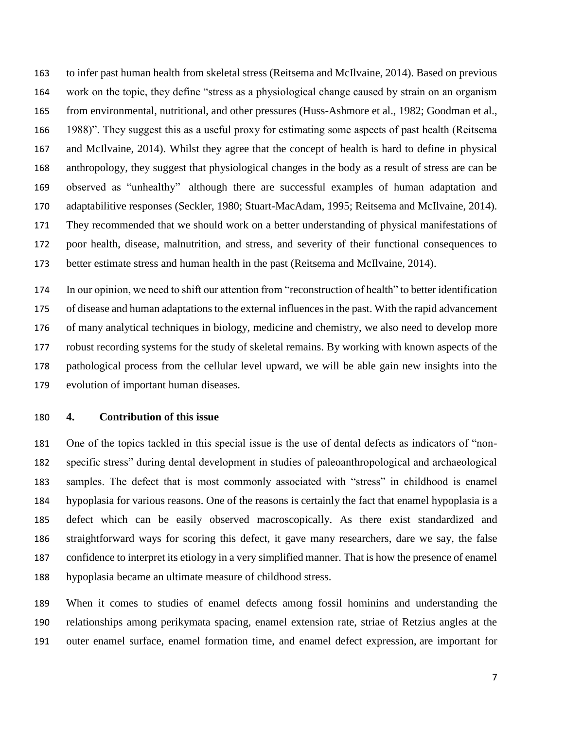to infer past human health from skeletal stress (Reitsema and McIlvaine, 2014). Based on previous work on the topic, they define "stress as a physiological change caused by strain on an organism from environmental, nutritional, and other pressures (Huss-Ashmore et al., 1982; Goodman et al., 1988)". They suggest this as a useful proxy for estimating some aspects of past health (Reitsema and McIlvaine, 2014). Whilst they agree that the concept of health is hard to define in physical anthropology, they suggest that physiological changes in the body as a result of stress are can be observed as "unhealthy" although there are successful examples of human adaptation and adaptabilitive responses (Seckler, 1980; Stuart-MacAdam, 1995; Reitsema and McIlvaine, 2014). They recommended that we should work on a better understanding of physical manifestations of poor health, disease, malnutrition, and stress, and severity of their functional consequences to better estimate stress and human health in the past (Reitsema and McIlvaine, 2014).

 In our opinion, we need to shift our attention from "reconstruction of health" to better identification of disease and human adaptations to the external influencesin the past. With the rapid advancement of many analytical techniques in biology, medicine and chemistry, we also need to develop more robust recording systems for the study of skeletal remains. By working with known aspects of the pathological process from the cellular level upward, we will be able gain new insights into the evolution of important human diseases.

### **4. Contribution of this issue**

 One of the topics tackled in this special issue is the use of dental defects as indicators of "non- specific stress" during dental development in studies of paleoanthropological and archaeological samples. The defect that is most commonly associated with "stress" in childhood is enamel hypoplasia for various reasons. One of the reasons is certainly the fact that enamel hypoplasia is a defect which can be easily observed macroscopically. As there exist standardized and straightforward ways for scoring this defect, it gave many researchers, dare we say, the false confidence to interpret its etiology in a very simplified manner. That is how the presence of enamel hypoplasia became an ultimate measure of childhood stress.

 When it comes to studies of enamel defects among fossil hominins and understanding the relationships among perikymata spacing, enamel extension rate, striae of Retzius angles at the outer enamel surface, enamel formation time, and enamel defect expression, are important for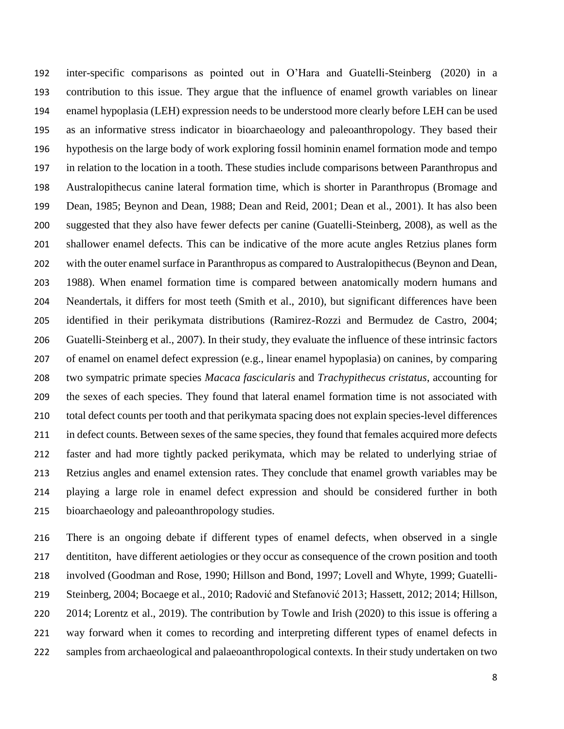inter-specific comparisons as pointed out in O'Hara and Guatelli-Steinberg (2020) in a contribution to this issue. They argue that the influence of enamel growth variables on linear enamel hypoplasia (LEH) expression needs to be understood more clearly before LEH can be used as an informative stress indicator in bioarchaeology and paleoanthropology. They based their hypothesis on the large body of work exploring fossil hominin enamel formation mode and tempo in relation to the location in a tooth. These studies include comparisons between Paranthropus and Australopithecus canine lateral formation time, which is shorter in Paranthropus (Bromage and Dean, 1985; Beynon and Dean, 1988; Dean and Reid, 2001; Dean et al., 2001). It has also been suggested that they also have fewer defects per canine (Guatelli-Steinberg, 2008), as well as the shallower enamel defects. This can be indicative of the more acute angles Retzius planes form with the outer enamel surface in Paranthropus as compared to Australopithecus (Beynon and Dean, 1988). When enamel formation time is compared between anatomically modern humans and Neandertals, it differs for most teeth (Smith et al., 2010), but significant differences have been identified in their perikymata distributions (Ramirez-Rozzi and Bermudez de Castro, 2004; Guatelli-Steinberg et al., 2007). In their study, they evaluate the influence of these intrinsic factors of enamel on enamel defect expression (e.g., linear enamel hypoplasia) on canines, by comparing two sympatric primate species *Macaca fascicularis* and *Trachypithecus cristatus*, accounting for the sexes of each species. They found that lateral enamel formation time is not associated with total defect counts per tooth and that perikymata spacing does not explain species-level differences in defect counts. Between sexes of the same species, they found that females acquired more defects faster and had more tightly packed perikymata, which may be related to underlying striae of Retzius angles and enamel extension rates. They conclude that enamel growth variables may be playing a large role in enamel defect expression and should be considered further in both bioarchaeology and paleoanthropology studies.

 There is an ongoing debate if different types of enamel defects, when observed in a single dentititon, have different aetiologies or they occur as consequence of the crown position and tooth involved (Goodman and Rose, 1990; Hillson and Bond, 1997; Lovell and Whyte, 1999; Guatelli- Steinberg, 2004; Bocaege et al., 2010; Radović and Stefanović 2013; Hassett, 2012; 2014; Hillson, 2014; Lorentz et al., 2019). The contribution by Towle and Irish (2020) to this issue is offering a way forward when it comes to recording and interpreting different types of enamel defects in samples from archaeological and palaeoanthropological contexts. In their study undertaken on two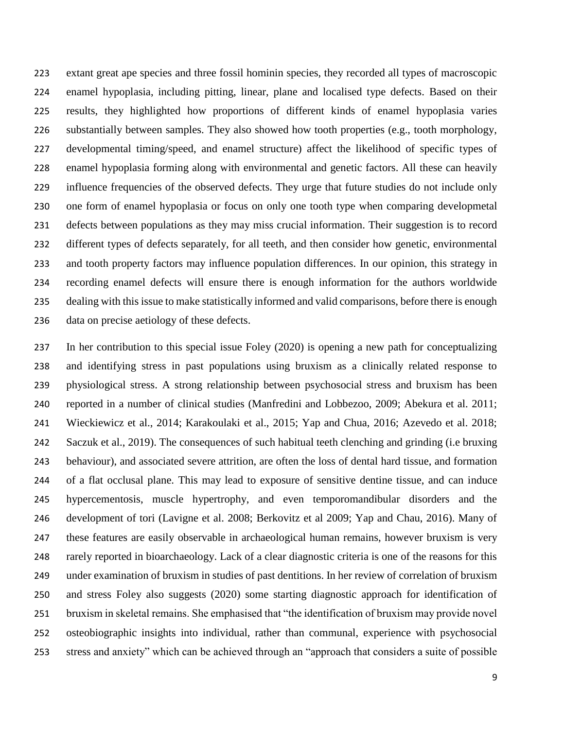extant great ape species and three fossil hominin species, they recorded all types of macroscopic enamel hypoplasia, including pitting, linear, plane and localised type defects. Based on their results, they highlighted how proportions of different kinds of enamel hypoplasia varies substantially between samples. They also showed how tooth properties (e.g., tooth morphology, developmental timing/speed, and enamel structure) affect the likelihood of specific types of enamel hypoplasia forming along with environmental and genetic factors. All these can heavily influence frequencies of the observed defects. They urge that future studies do not include only one form of enamel hypoplasia or focus on only one tooth type when comparing developmetal defects between populations as they may miss crucial information. Their suggestion is to record different types of defects separately, for all teeth, and then consider how genetic, environmental and tooth property factors may influence population differences. In our opinion, this strategy in recording enamel defects will ensure there is enough information for the authors worldwide dealing with this issue to make statistically informed and valid comparisons, before there is enough data on precise aetiology of these defects.

 In her contribution to this special issue Foley (2020) is opening a new path for conceptualizing and identifying stress in past populations using bruxism as a clinically related response to physiological stress. A strong relationship between psychosocial stress and bruxism has been reported in a number of clinical studies (Manfredini and Lobbezoo, 2009; Abekura et al. 2011; Wieckiewicz et al., 2014; Karakoulaki et al., 2015; Yap and Chua, 2016; Azevedo et al. 2018; Saczuk et al., 2019). The consequences of such habitual teeth clenching and grinding (i.e bruxing behaviour), and associated severe attrition, are often the loss of dental hard tissue, and formation of a flat occlusal plane. This may lead to exposure of sensitive dentine tissue, and can induce hypercementosis, muscle hypertrophy, and even temporomandibular disorders and the development of tori (Lavigne et al. 2008; Berkovitz et al 2009; Yap and Chau, 2016). Many of these features are easily observable in archaeological human remains, however bruxism is very rarely reported in bioarchaeology. Lack of a clear diagnostic criteria is one of the reasons for this under examination of bruxism in studies of past dentitions. In her review of correlation of bruxism and stress Foley also suggests (2020) some starting diagnostic approach for identification of bruxism in skeletal remains. She emphasised that "the identification of bruxism may provide novel osteobiographic insights into individual, rather than communal, experience with psychosocial stress and anxiety" which can be achieved through an "approach that considers a suite of possible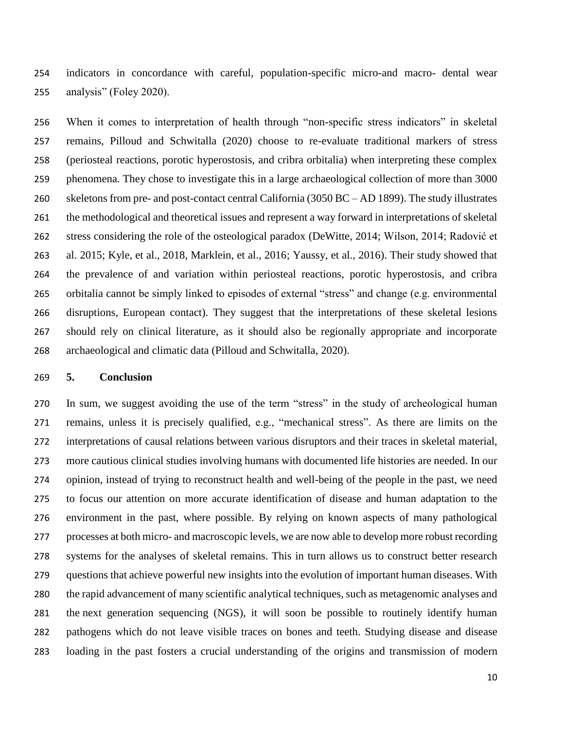indicators in concordance with careful, population-specific micro-and macro- dental wear analysis" (Foley 2020).

 When it comes to interpretation of health through "non-specific stress indicators" in skeletal remains, Pilloud and Schwitalla (2020) choose to re-evaluate traditional markers of stress (periosteal reactions, porotic hyperostosis, and cribra orbitalia) when interpreting these complex phenomena. They chose to investigate this in a large archaeological collection of more than 3000 skeletons from pre- and post-contact central California (3050 BC – AD 1899). The study illustrates the methodological and theoretical issues and represent a way forward in interpretations of skeletal stress considering the role of the osteological paradox (DeWitte, 2014; Wilson, 2014; Radović et al. 2015; Kyle, et al., 2018, Marklein, et al., 2016; Yaussy, et al., 2016). Their study showed that the prevalence of and variation within periosteal reactions, porotic hyperostosis, and cribra orbitalia cannot be simply linked to episodes of external "stress" and change (e.g. environmental disruptions, European contact). They suggest that the interpretations of these skeletal lesions should rely on clinical literature, as it should also be regionally appropriate and incorporate archaeological and climatic data (Pilloud and Schwitalla, 2020).

#### **5. Conclusion**

 In sum, we suggest avoiding the use of the term "stress" in the study of archeological human remains, unless it is precisely qualified, e.g., "mechanical stress". As there are limits on the interpretations of causal relations between various disruptors and their traces in skeletal material, more cautious clinical studies involving humans with documented life histories are needed. In our opinion, instead of trying to reconstruct health and well-being of the people in the past, we need to focus our attention on more accurate identification of disease and human adaptation to the environment in the past, where possible. By relying on known aspects of many pathological processes at both micro- and macroscopic levels, we are now able to develop more robust recording systems for the analyses of skeletal remains. This in turn allows us to construct better research questions that achieve powerful new insights into the evolution of important human diseases. With the rapid advancement of many scientific analytical techniques, such as metagenomic analyses and the next generation sequencing (NGS), it will soon be possible to routinely identify human pathogens which do not leave visible traces on bones and teeth. Studying disease and disease loading in the past fosters a crucial understanding of the origins and transmission of modern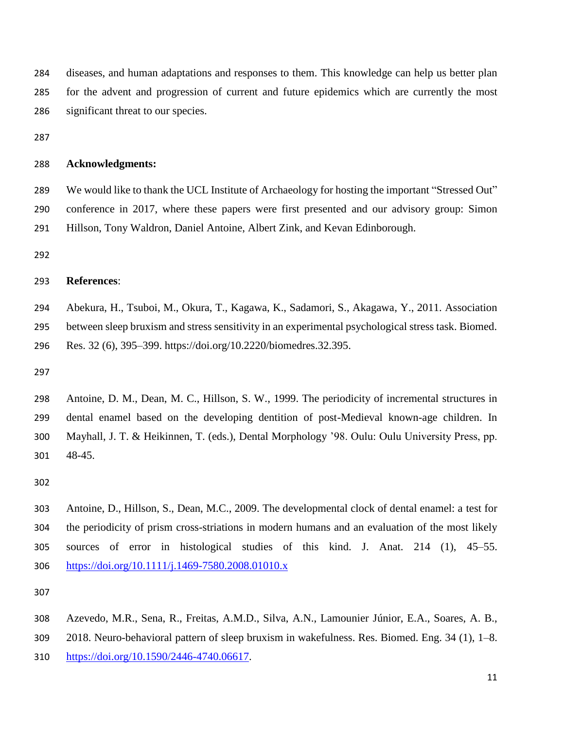diseases, and human adaptations and responses to them. This knowledge can help us better plan for the advent and progression of current and future epidemics which are currently the most significant threat to our species.

### **Acknowledgments:**

 We would like to thank the UCL Institute of Archaeology for hosting the important "Stressed Out" conference in 2017, where these papers were first presented and our advisory group: Simon Hillson, Tony Waldron, Daniel Antoine, Albert Zink, and Kevan Edinborough.

#### **References**:

 Abekura, H., Tsuboi, M., Okura, T., Kagawa, K., Sadamori, S., Akagawa, Y., 2011. Association between sleep bruxism and stress sensitivity in an experimental psychological stress task. Biomed. Res. 32 (6), 395–399. https://doi.org/10.2220/biomedres.32.395.

 Antoine, D. M., Dean, M. C., Hillson, S. W., 1999. The periodicity of incremental structures in dental enamel based on the developing dentition of post-Medieval known-age children. In Mayhall, J. T. & Heikinnen, T. (eds.), Dental Morphology '98. Oulu: Oulu University Press, pp. 48-45.

 Antoine, D., Hillson, S., Dean, M.C., 2009. The developmental clock of dental enamel: a test for the periodicity of prism cross-striations in modern humans and an evaluation of the most likely sources of error in histological studies of this kind. J. Anat. 214 (1), 45–55. <https://doi.org/10.1111/j.1469-7580.2008.01010.x>

Azevedo, M.R., Sena, R., Freitas, A.M.D., Silva, A.N., Lamounier Júnior, E.A., Soares, A. B.,

2018. Neuro-behavioral pattern of sleep bruxism in wakefulness. Res. Biomed. Eng. 34 (1), 1–8.

[https://doi.org/10.1590/2446-4740.06617.](https://doi.org/10.1590/2446-4740.06617)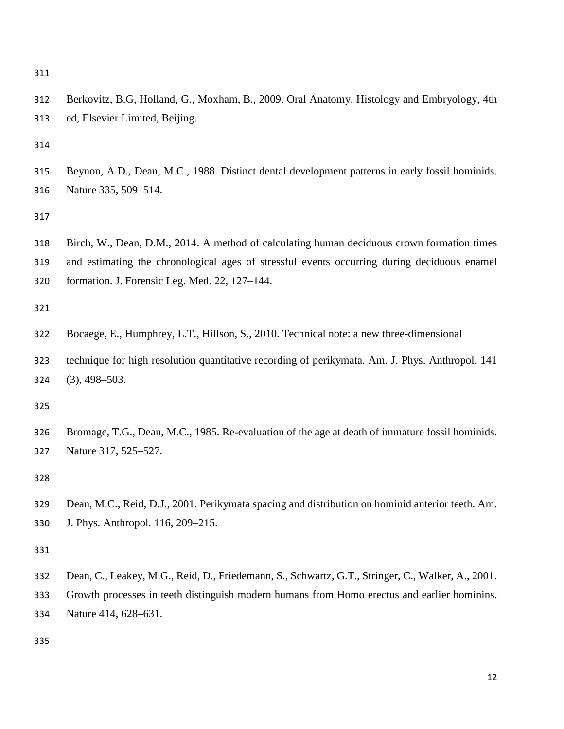- 
- Berkovitz, B.G, Holland, G., Moxham, B., 2009. Oral Anatomy, Histology and Embryology, 4th ed, Elsevier Limited, Beijing.

 Beynon, A.D., Dean, M.C., 1988. Distinct dental development patterns in early fossil hominids. Nature 335, 509–514.

 Birch, W., Dean, D.M., 2014. A method of calculating human deciduous crown formation times and estimating the chronological ages of stressful events occurring during deciduous enamel formation. J. Forensic Leg. Med. 22, 127–144.

- Bocaege, E., Humphrey, L.T., Hillson, S., 2010. Technical note: a new three-dimensional
- technique for high resolution quantitative recording of perikymata. Am. J. Phys. Anthropol. 141 (3), 498–503.

 Bromage, T.G., Dean, M.C., 1985. Re-evaluation of the age at death of immature fossil hominids. Nature 317, 525–527.

 Dean, M.C., Reid, D.J., 2001. Perikymata spacing and distribution on hominid anterior teeth. Am. J. Phys. Anthropol. 116, 209–215.

- Dean, C., Leakey, M.G., Reid, D., Friedemann, S., Schwartz, G.T., Stringer, C., Walker, A., 2001.
- Growth processes in teeth distinguish modern humans from Homo erectus and earlier hominins. Nature 414, 628–631.
-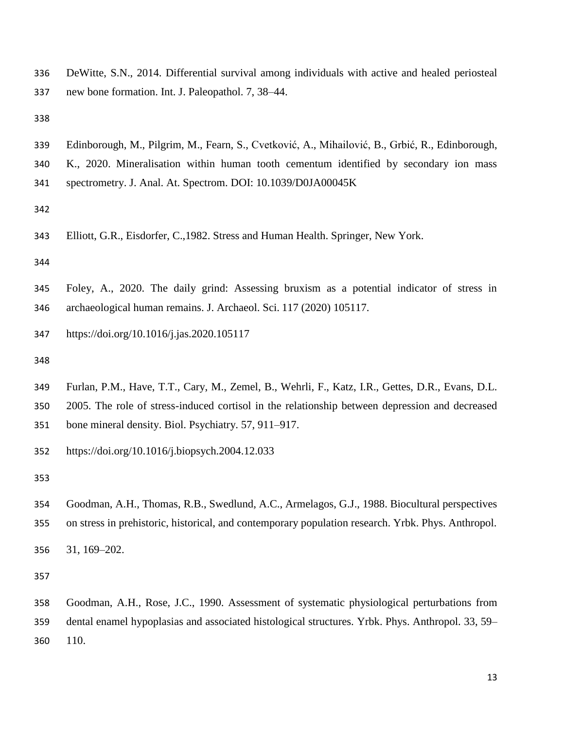- DeWitte, S.N., 2014. Differential survival among individuals with active and healed periosteal new bone formation. Int. J. Paleopathol. 7, 38–44.
- 
- Edinborough, M., Pilgrim, M., Fearn, S., Cvetković, A., Mihailović, B., Grbić, R., Edinborough, K., 2020. Mineralisation within human tooth cementum identified by secondary ion mass spectrometry. J. Anal. At. Spectrom. DOI: 10.1039/D0JA00045K
- 
- Elliott, G.R., Eisdorfer, C.,1982. Stress and Human Health. Springer, New York.

- Foley, A., 2020. The daily grind: Assessing bruxism as a potential indicator of stress in archaeological human remains. J. Archaeol. Sci. 117 (2020) 105117.
- https://doi.org/10.1016/j.jas.2020.105117
- 
- Furlan, P.M., Have, T.T., Cary, M., Zemel, B., Wehrli, F., Katz, I.R., Gettes, D.R., Evans, D.L. 2005. The role of stress-induced cortisol in the relationship between depression and decreased
- bone mineral density. Biol. Psychiatry. 57, 911–917.

https://doi.org/10.1016/j.biopsych.2004.12.033

 Goodman, A.H., Thomas, R.B., Swedlund, A.C., Armelagos, G.J., 1988. Biocultural perspectives on stress in prehistoric, historical, and contemporary population research. Yrbk. Phys. Anthropol.

31, 169–202.

 Goodman, A.H., Rose, J.C., 1990. Assessment of systematic physiological perturbations from dental enamel hypoplasias and associated histological structures. Yrbk. Phys. Anthropol. 33, 59– 110.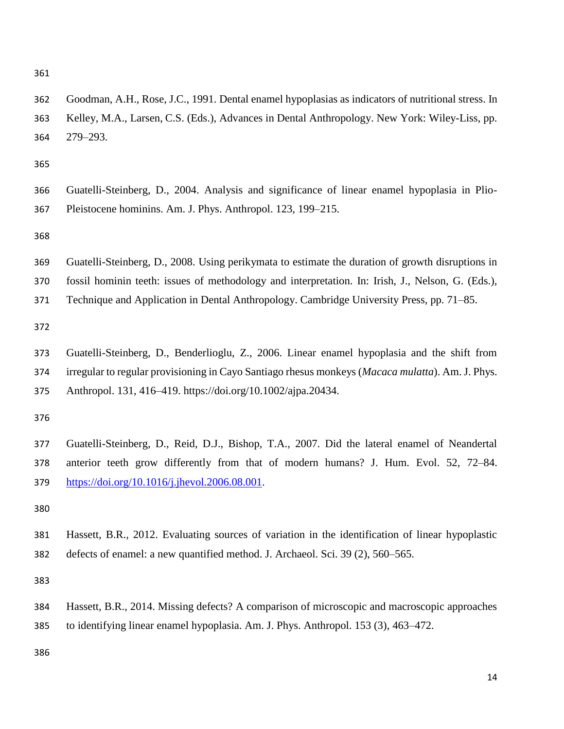Goodman, A.H., Rose, J.C., 1991. Dental enamel hypoplasias as indicators of nutritional stress. In Kelley, M.A., Larsen, C.S. (Eds.), Advances in Dental Anthropology. New York: Wiley-Liss, pp. 279–293.

 Guatelli-Steinberg, D., 2004. Analysis and significance of linear enamel hypoplasia in Plio-Pleistocene hominins. Am. J. Phys. Anthropol. 123, 199–215.

- Guatelli-Steinberg, D., 2008. Using perikymata to estimate the duration of growth disruptions in
- fossil hominin teeth: issues of methodology and interpretation. In: Irish, J., Nelson, G. (Eds.),
- Technique and Application in Dental Anthropology. Cambridge University Press, pp. 71–85.

 Guatelli-Steinberg, D., Benderlioglu, Z., 2006. Linear enamel hypoplasia and the shift from irregular to regular provisioning in Cayo Santiago rhesus monkeys (*Macaca mulatta*). Am. J. Phys. Anthropol. 131, 416–419. https://doi.org/10.1002/ajpa.20434.

 Guatelli-Steinberg, D., Reid, D.J., Bishop, T.A., 2007. Did the lateral enamel of Neandertal anterior teeth grow differently from that of modern humans? J. Hum. Evol. 52, 72–84. [https://doi.org/10.1016/j.jhevol.2006.08.001.](https://doi.org/10.1016/j.jhevol.2006.08.001)

 Hassett, B.R., 2012. Evaluating sources of variation in the identification of linear hypoplastic defects of enamel: a new quantified method. J. Archaeol. Sci. 39 (2), 560–565.

 Hassett, B.R., 2014. Missing defects? A comparison of microscopic and macroscopic approaches to identifying linear enamel hypoplasia. Am. J. Phys. Anthropol. 153 (3), 463–472.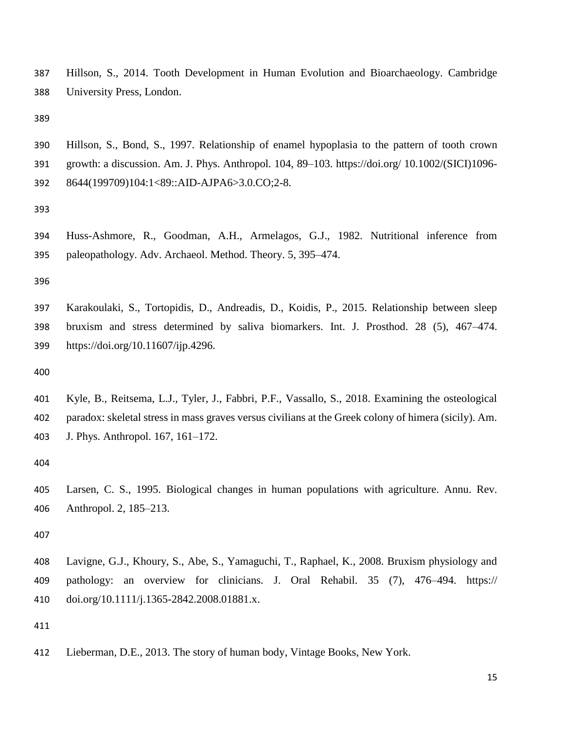Hillson, S., 2014. Tooth Development in Human Evolution and Bioarchaeology. Cambridge University Press, London.

 Hillson, S., Bond, S., 1997. Relationship of enamel hypoplasia to the pattern of tooth crown growth: a discussion. Am. J. Phys. Anthropol. 104, 89–103. https://doi.org/ 10.1002/(SICI)1096- 8644(199709)104:1<89::AID-AJPA6>3.0.CO;2-8.

 Huss-Ashmore, R., Goodman, A.H., Armelagos, G.J., 1982. Nutritional inference from paleopathology. Adv. Archaeol. Method. Theory. 5, 395–474.

 Karakoulaki, S., Tortopidis, D., Andreadis, D., Koidis, P., 2015. Relationship between sleep bruxism and stress determined by saliva biomarkers. Int. J. Prosthod. 28 (5), 467–474. https://doi.org/10.11607/ijp.4296.

 Kyle, B., Reitsema, L.J., Tyler, J., Fabbri, P.F., Vassallo, S., 2018. Examining the osteological paradox: skeletal stress in mass graves versus civilians at the Greek colony of himera (sicily). Am. J. Phys. Anthropol. 167, 161–172.

 Larsen, C. S., 1995. Biological changes in human populations with agriculture. Annu. Rev. Anthropol. 2, 185–213.

 Lavigne, G.J., Khoury, S., Abe, S., Yamaguchi, T., Raphael, K., 2008. Bruxism physiology and pathology: an overview for clinicians. J. Oral Rehabil. 35 (7), 476–494. https:// doi.org/10.1111/j.1365-2842.2008.01881.x.

Lieberman, D.E., 2013. The story of human body, Vintage Books, New York.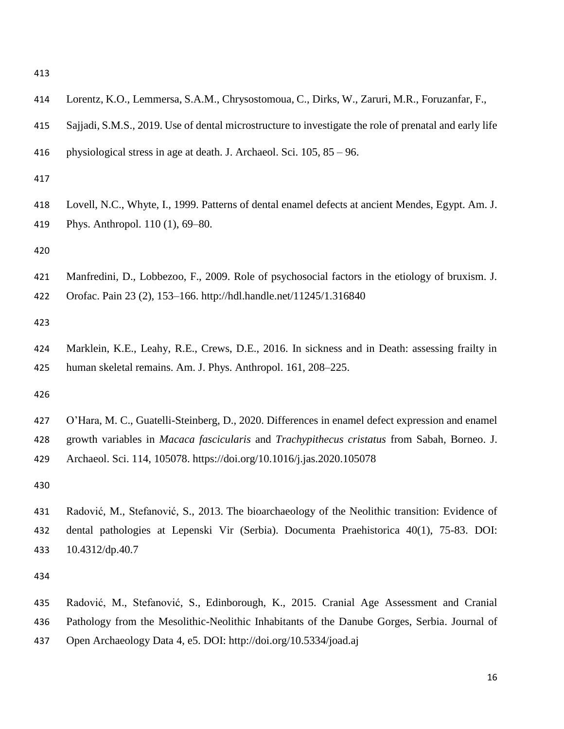| 414                      | Lorentz, K.O., Lemmersa, S.A.M., Chrysostomoua, C., Dirks, W., Zaruri, M.R., Foruzanfar, F.,                                                                                                                                                                            |
|--------------------------|-------------------------------------------------------------------------------------------------------------------------------------------------------------------------------------------------------------------------------------------------------------------------|
| 415                      | Sajjadi, S.M.S., 2019. Use of dental microstructure to investigate the role of prenatal and early life                                                                                                                                                                  |
| 416                      | physiological stress in age at death. J. Archaeol. Sci. $105$ , $85 - 96$ .                                                                                                                                                                                             |
| 417                      |                                                                                                                                                                                                                                                                         |
| 418<br>419               | Lovell, N.C., Whyte, I., 1999. Patterns of dental enamel defects at ancient Mendes, Egypt. Am. J.<br>Phys. Anthropol. 110 (1), 69-80.                                                                                                                                   |
| 420                      |                                                                                                                                                                                                                                                                         |
| 421<br>422               | Manfredini, D., Lobbezoo, F., 2009. Role of psychosocial factors in the etiology of bruxism. J.<br>Orofac. Pain 23 (2), 153-166. http://hdl.handle.net/11245/1.316840                                                                                                   |
| 423                      |                                                                                                                                                                                                                                                                         |
| 424<br>425               | Marklein, K.E., Leahy, R.E., Crews, D.E., 2016. In sickness and in Death: assessing frailty in<br>human skeletal remains. Am. J. Phys. Anthropol. 161, 208–225.                                                                                                         |
| 426                      |                                                                                                                                                                                                                                                                         |
| 427<br>428<br>429        | O'Hara, M. C., Guatelli-Steinberg, D., 2020. Differences in enamel defect expression and enamel<br>growth variables in Macaca fascicularis and Trachypithecus cristatus from Sabah, Borneo. J.<br>Archaeol. Sci. 114, 105078. https://doi.org/10.1016/j.jas.2020.105078 |
| 430                      |                                                                                                                                                                                                                                                                         |
| 431<br>432<br>433<br>434 | Radović, M., Stefanović, S., 2013. The bioarchaeology of the Neolithic transition: Evidence of<br>dental pathologies at Lepenski Vir (Serbia). Documenta Praehistorica 40(1), 75-83. DOI:<br>$10.4312$ /dp.40.7                                                         |
| 435                      | Radović, M., Stefanović, S., Edinborough, K., 2015. Cranial Age Assessment and Cranial                                                                                                                                                                                  |
|                          |                                                                                                                                                                                                                                                                         |

 Pathology from the Mesolithic-Neolithic Inhabitants of the Danube Gorges, Serbia. Journal of Open Archaeology Data 4, e5. DOI: http://doi.org/10.5334/joad.aj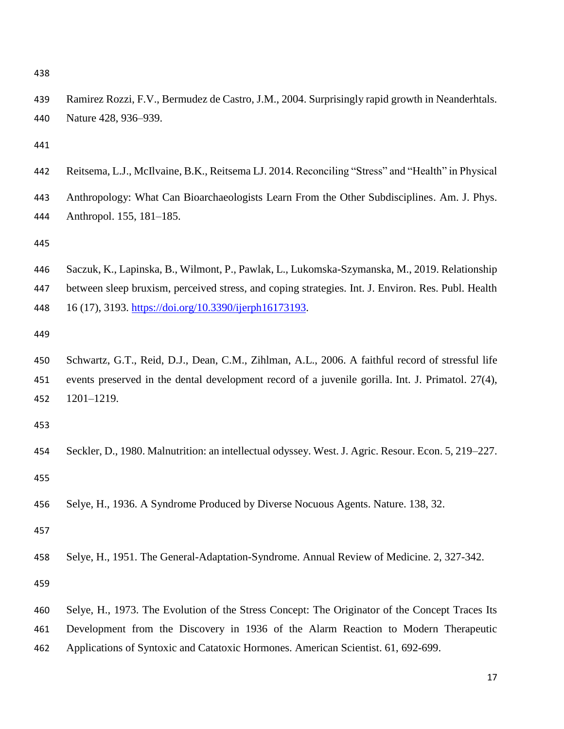Ramirez Rozzi, F.V., Bermudez de Castro, J.M., 2004. Surprisingly rapid growth in Neanderhtals. Nature 428, 936–939.

| 442 | Reitsema, L.J., McIlvaine, B.K., Reitsema LJ. 2014. Reconciling "Stress" and "Health" in Physical  |
|-----|----------------------------------------------------------------------------------------------------|
| 443 | Anthropology: What Can Bioarchaeologists Learn From the Other Subdisciplines. Am. J. Phys.         |
| 444 | Anthropol. 155, 181–185.                                                                           |
| 445 |                                                                                                    |
| 446 | Saczuk, K., Lapinska, B., Wilmont, P., Pawlak, L., Lukomska-Szymanska, M., 2019. Relationship      |
| 447 | between sleep bruxism, perceived stress, and coping strategies. Int. J. Environ. Res. Publ. Health |
| 448 | 16 (17), 3193. https://doi.org/10.3390/ijerph16173193.                                             |
| 449 |                                                                                                    |

 Schwartz, G.T., Reid, D.J., Dean, C.M., Zihlman, A.L., 2006. A faithful record of stressful life events preserved in the dental development record of a juvenile gorilla. Int. J. Primatol. 27(4), 1201–1219.

- Seckler, D., 1980. Malnutrition: an intellectual odyssey. West. J. Agric. Resour. Econ. 5, 219–227.
- Selye, H., 1936. A Syndrome Produced by Diverse Nocuous Agents. Nature. 138, 32.

Selye, H., 1951. The General-Adaptation-Syndrome. Annual Review of Medicine. 2, 327-342.

 Selye, H., 1973. The Evolution of the Stress Concept: The Originator of the Concept Traces Its Development from the Discovery in 1936 of the Alarm Reaction to Modern Therapeutic Applications of Syntoxic and Catatoxic Hormones. American Scientist. 61, 692-699.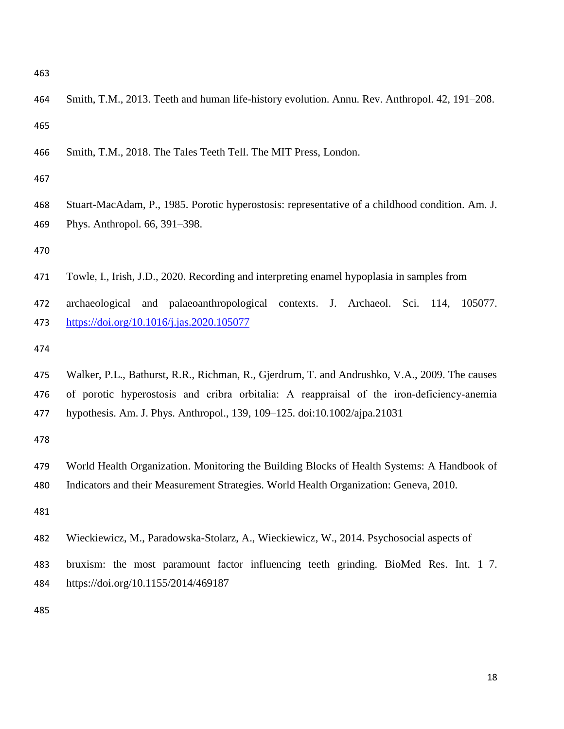- Smith, T.M., 2013. Teeth and human life-history evolution. Annu. Rev. Anthropol. 42, 191–208.
- Smith, T.M., 2018. The Tales Teeth Tell. The MIT Press, London.

 Stuart-MacAdam, P., 1985. Porotic hyperostosis: representative of a childhood condition. Am. J. Phys. Anthropol. 66, 391–398.

Towle, I., Irish, J.D., 2020. Recording and interpreting enamel hypoplasia in samples from

 archaeological and palaeoanthropological contexts. J. Archaeol. Sci. 114, 105077. <https://doi.org/10.1016/j.jas.2020.105077>

 Walker, P.L., Bathurst, R.R., Richman, R., Gjerdrum, T. and Andrushko, V.A., 2009. The causes 476 of porotic hyperostosis and cribra orbitalia: A reappraisal of the iron-deficiency-anemia hypothesis. Am. J. Phys. Anthropol., 139, 109–125. doi:10.1002/ajpa.21031

- World Health Organization. Monitoring the Building Blocks of Health Systems: A Handbook of Indicators and their Measurement Strategies. World Health Organization: Geneva, 2010.
- 
- Wieckiewicz, M., Paradowska-Stolarz, A., Wieckiewicz, W., 2014. Psychosocial aspects of
- bruxism: the most paramount factor influencing teeth grinding. BioMed Res. Int. 1–7. https://doi.org/10.1155/2014/469187